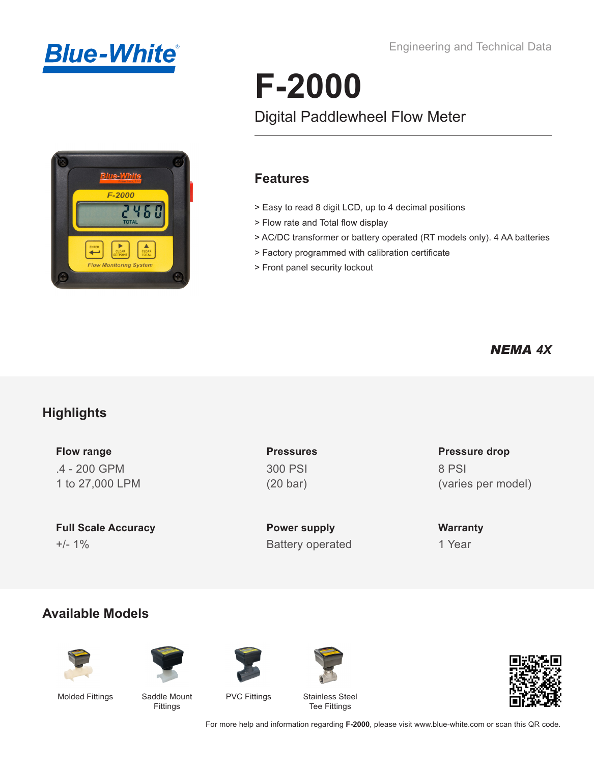



#### Engineering and Technical Data

# **F-2000**

# Digital Paddlewheel Flow Meter

### **Features**

- > Easy to read 8 digit LCD, up to 4 decimal positions
- > Flow rate and Total flow display
- > AC/DC transformer or battery operated (RT models only). 4 AA batteries
- > Factory programmed with calibration certificate
- > Front panel security lockout

### *NEMA 4X*

### **Highlights**

**Flow range** .4 - 200 GPM 1 to 27,000 LPM

**Full Scale Accuracy Power supply** +/- 1% Battery operated 1 Year

**Pressures** 300 PSI (20 bar)

### **Pressure drop** 8 PSI (varies per model)

**Warranty**

### **Available Models**













Molded Fittings Saddle Mount Fittings

PVC Fittings Stainless Steel Tee Fittings

For more help and information regarding **F-2000**, please visit www.blue-white.com or scan this QR code.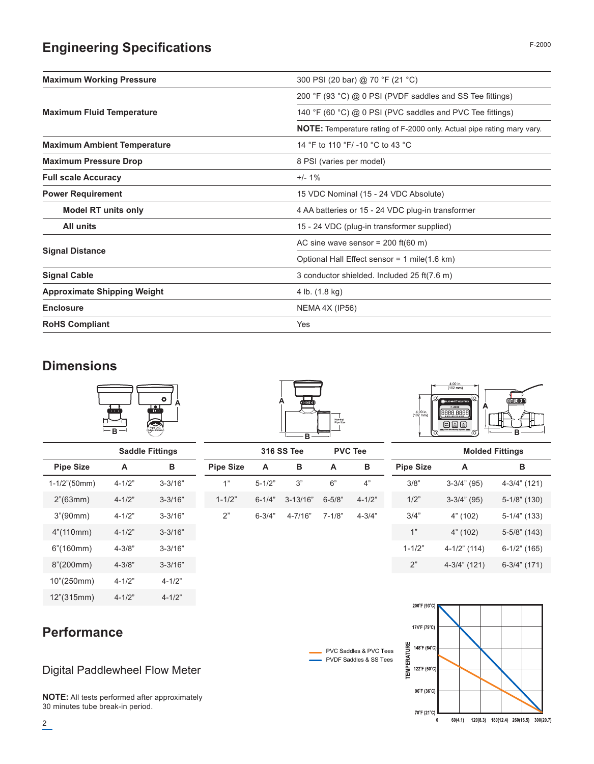# **Engineering Specifications**

| <b>Maximum Working Pressure</b>    | 300 PSI (20 bar) @ 70 °F (21 °C)                                              |
|------------------------------------|-------------------------------------------------------------------------------|
|                                    | 200 °F (93 °C) @ 0 PSI (PVDF saddles and SS Tee fittings)                     |
| <b>Maximum Fluid Temperature</b>   | 140 °F (60 °C) @ 0 PSI (PVC saddles and PVC Tee fittings)                     |
|                                    | <b>NOTE:</b> Temperature rating of F-2000 only. Actual pipe rating mary vary. |
| <b>Maximum Ambient Temperature</b> | 14 °F to 110 °F/-10 °C to 43 °C                                               |
| <b>Maximum Pressure Drop</b>       | 8 PSI (varies per model)                                                      |
| <b>Full scale Accuracy</b>         | $+/- 1\%$                                                                     |
| <b>Power Requirement</b>           | 15 VDC Nominal (15 - 24 VDC Absolute)                                         |
| <b>Model RT units only</b>         | 4 AA batteries or 15 - 24 VDC plug-in transformer                             |
| <b>All units</b>                   | 15 - 24 VDC (plug-in transformer supplied)                                    |
|                                    | AC sine wave sensor = $200$ ft(60 m)                                          |
| <b>Signal Distance</b>             | Optional Hall Effect sensor = 1 mile(1.6 km)                                  |
| <b>Signal Cable</b>                | 3 conductor shielded. Included 25 ft(7.6 m)                                   |
| <b>Approximate Shipping Weight</b> | 4 lb. (1.8 kg)                                                                |
| <b>Enclosure</b>                   | NEMA 4X (IP56)                                                                |
| <b>RoHS Compliant</b>              | Yes                                                                           |

### **Dimensions**



|                  |            | <b>Saddle Fittings</b> |
|------------------|------------|------------------------|
| <b>Pipe Size</b> | A          | в                      |
| $1-1/2$ "(50mm)  | $4 - 1/2"$ | $3 - 3/16"$            |
| 2" (63mm)        | $4 - 1/2"$ | $3 - 3/16"$            |
| 3''(90mm)        | $4 - 1/2"$ | $3 - 3/16"$            |
| 4"(110mm)        | $4 - 1/2"$ | $3 - 3/16"$            |
| $6"$ (160mm)     | $4 - 3/8"$ | $3 - 3/16"$            |
| 8"(200mm)        | $4 - 3/8"$ | $3 - 3/16"$            |
| 10"(250mm)       | $4 - 1/2"$ | $4 - 1/2"$             |
| 12"(315mm)       | $4 - 1/2"$ | $4 - 1/2"$             |

# **A B**

|            | <b>316 SS Tee</b> | <b>PVC Tee</b>        |            |            |  |  |  |
|------------|-------------------|-----------------------|------------|------------|--|--|--|
| Pipe Size  | в<br>A            |                       | А          | в          |  |  |  |
| 1"         | $5 - 1/2"$        | 3"                    | 6"         | 4"         |  |  |  |
| $1 - 1/2"$ |                   | $6-1/4$ " $3-13/16$ " | $6 - 5/8"$ | $4 - 1/2"$ |  |  |  |
| 2"         | $6 - 3/4"$        | 4-7/16"               | 7-1/8"     | $4 - 3/4"$ |  |  |  |



|            | <b>Molded Fittings</b> |              |  |  |  |  |  |  |  |  |
|------------|------------------------|--------------|--|--|--|--|--|--|--|--|
| Pipe Size  | A                      | в            |  |  |  |  |  |  |  |  |
| 3/8"       | $3-3/4"$ (95)          | 4-3/4" (121) |  |  |  |  |  |  |  |  |
| 1/2"       | $3-3/4"$ (95)          | 5-1/8" (130) |  |  |  |  |  |  |  |  |
| 3/4"       | 4" (102)               | 5-1/4" (133) |  |  |  |  |  |  |  |  |
| 1"         | 4" (102)               | 5-5/8" (143) |  |  |  |  |  |  |  |  |
| $1 - 1/2"$ | 4-1/2" (114)           | 6-1/2" (165) |  |  |  |  |  |  |  |  |
| 2"         | 4-3/4" (121)           | 6-3/4" (171) |  |  |  |  |  |  |  |  |





# **Performance**

### Digital Paddlewheel Flow Meter

**NOTE:** All tests performed after approximately 30 minutes tube break-in period.

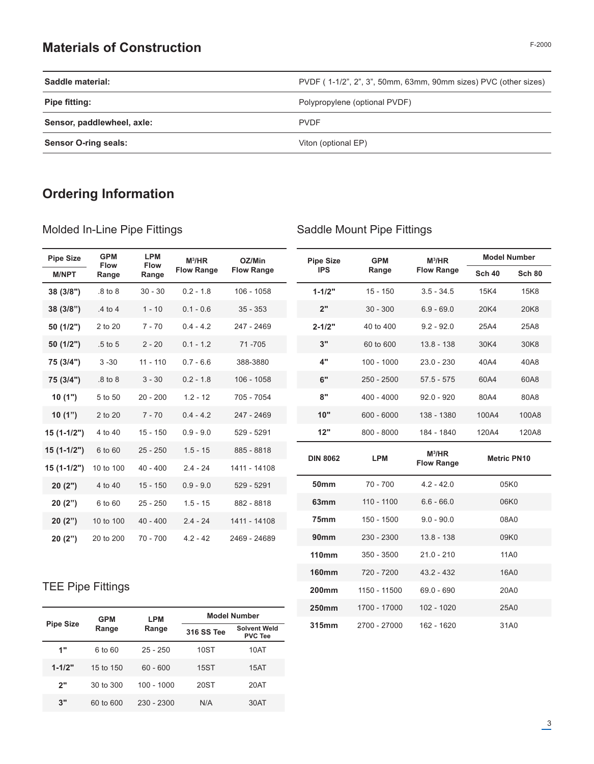### **Materials of Construction**

|--|

| Saddle material:            | PVDF (1-1/2", 2", 3", 50mm, 63mm, 90mm sizes) PVC (other sizes) |
|-----------------------------|-----------------------------------------------------------------|
| <b>Pipe fitting:</b>        | Polypropylene (optional PVDF)                                   |
| Sensor, paddlewheel, axle:  | <b>PVDF</b>                                                     |
| <b>Sensor O-ring seals:</b> | Viton (optional EP)                                             |

# **Ordering Information**

### Molded In-Line Pipe Fittings

### Saddle Mount Pipe Fittings

**160mm** 720 - 7200 43.2 - 432 16A0 **200mm** 1150 - 11500 69.0 - 690 20A0 **250mm** 1700 - 17000 102 - 1020 25A0 **Pipe Size 315mm** 2700 - 27000 162 - 1620 31A0

| <b>Pipe Size</b> | <b>GPM</b><br><b>Flow</b> | <b>LPM</b>           | $M^3/HR$          | OZ/Min            | <b>Pipe Size</b> | <b>GPM</b>   | $M^3/HR$          |               | <b>Model Number</b> |
|------------------|---------------------------|----------------------|-------------------|-------------------|------------------|--------------|-------------------|---------------|---------------------|
| <b>M/NPT</b>     | Range                     | <b>Flow</b><br>Range | <b>Flow Range</b> | <b>Flow Range</b> | <b>IPS</b>       | Range        | <b>Flow Range</b> | <b>Sch 40</b> | <b>Sch 80</b>       |
| 38(3/8")         | .8 to 8                   | $30 - 30$            | $0.2 - 1.8$       | 106 - 1058        | $1 - 1/2"$       | $15 - 150$   | $3.5 - 34.5$      | 15K4          | <b>15K8</b>         |
| 38(3/8")         | .4 to 4                   | $1 - 10$             | $0.1 - 0.6$       | $35 - 353$        | 2"               | $30 - 300$   | $6.9 - 69.0$      | 20K4          | 20K8                |
| 50(1/2")         | 2 to 20                   | $7 - 70$             | $0.4 - 4.2$       | 247 - 2469        | $2 - 1/2"$       | 40 to 400    | $9.2 - 92.0$      | 25A4          | 25A8                |
| 50(1/2")         | $.5$ to 5                 | $2 - 20$             | $0.1 - 1.2$       | 71-705            | 3"               | 60 to 600    | $13.8 - 138$      | 30K4          | 30K8                |
| 75 (3/4")        | $3 - 30$                  | $11 - 110$           | $0.7 - 6.6$       | 388-3880          | 4"               | $100 - 1000$ | $23.0 - 230$      | 40A4          | 40A8                |
| 75 (3/4")        | $.8$ to $8$               | $3 - 30$             | $0.2 - 1.8$       | $106 - 1058$      | 6"               | $250 - 2500$ | $57.5 - 575$      | 60A4          | 60A8                |
| 10(1")           | 5 to 50                   | $20 - 200$           | $1.2 - 12$        | 705 - 7054        | 8"               | $400 - 4000$ | $92.0 - 920$      | 80A4          | 80A8                |
| 10(1")           | 2 to 20                   | $7 - 70$             | $0.4 - 4.2$       | 247 - 2469        | 10"              | $600 - 6000$ | 138 - 1380        | 100A4         | 100A8               |
| $15(1-1/2")$     | 4 to 40                   | $15 - 150$           | $0.9 - 9.0$       | 529 - 5291        | 12"              | $800 - 8000$ | 184 - 1840        | 120A4         | 120A8               |
| $15(1-1/2")$     | 6 to 60                   | $25 - 250$           | $1.5 - 15$        | 885 - 8818        |                  | <b>LPM</b>   | $M^3/HR$          |               | <b>Metric PN10</b>  |
| $15(1-1/2")$     | 10 to 100                 | $40 - 400$           | $2.4 - 24$        | 1411 - 14108      | <b>DIN 8062</b>  |              | <b>Flow Range</b> |               |                     |
| 20(2")           | 4 to 40                   | $15 - 150$           | $0.9 - 9.0$       | 529 - 5291        | <b>50mm</b>      | $70 - 700$   | $4.2 - 42.0$      |               | 05K0                |
| 20(2")           | 6 to 60                   | $25 - 250$           | $1.5 - 15$        | 882 - 8818        | 63mm             | $110 - 1100$ | $6.6 - 66.0$      | 06K0          |                     |
| 20(2")           | 10 to 100                 | $40 - 400$           | $2.4 - 24$        | 1411 - 14108      | <b>75mm</b>      | 150 - 1500   | $9.0 - 90.0$      |               | 08A0                |
| 20(2")           | 20 to 200                 | $70 - 700$           | $4.2 - 42$        | 2469 - 24689      | <b>90mm</b>      | 230 - 2300   | $13.8 - 138$      |               | 09K0                |
|                  |                           |                      |                   |                   | <b>110mm</b>     | $350 - 3500$ | $21.0 - 210$      |               | 11A0                |

### TEE Pipe Fittings

| <b>Pipe Size</b> | <b>GPM</b> | <b>LPM</b>   | <b>Model Number</b> |                                       |  |  |  |  |  |
|------------------|------------|--------------|---------------------|---------------------------------------|--|--|--|--|--|
|                  | Range      | Range        | <b>316 SS Tee</b>   | <b>Solvent Weld</b><br><b>PVC Tee</b> |  |  |  |  |  |
| 1"               | 6 to 60    | $25 - 250$   | 10ST                | 10AT                                  |  |  |  |  |  |
| $1 - 1/2"$       | 15 to 150  | $60 - 600$   | <b>15ST</b>         | 15AT                                  |  |  |  |  |  |
| 2"               | 30 to 300  | $100 - 1000$ | 20ST                | 20AT                                  |  |  |  |  |  |
| 3"               | 60 to 600  | $230 - 2300$ | N/A                 | 30AT                                  |  |  |  |  |  |